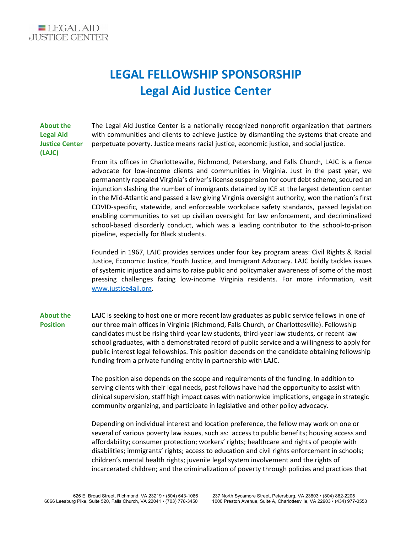

## **LEGAL FELLOWSHIP SPONSORSHIP Legal Aid Justice Center**

**About the Legal Aid Justice Center (LAJC)**

The Legal Aid Justice Center is a nationally recognized nonprofit organization that partners with communities and clients to achieve justice by dismantling the systems that create and perpetuate poverty. Justice means racial justice, economic justice, and social justice.

From its offices in Charlottesville, Richmond, Petersburg, and Falls Church, LAJC is a fierce advocate for low-income clients and communities in Virginia. Just in the past year, we permanently repealed Virginia's driver's license suspension for court debt scheme, secured an injunction slashing the number of immigrants detained by ICE at the largest detention center in the Mid-Atlantic and passed a law giving Virginia oversight authority, won the nation's first COVID-specific, statewide, and enforceable workplace safety standards, passed legislation enabling communities to set up civilian oversight for law enforcement, and decriminalized school-based disorderly conduct, which was a leading contributor to the school-to-prison pipeline, especially for Black students.

Founded in 1967, LAJC provides services under four key program areas: Civil Rights & Racial Justice, Economic Justice, Youth Justice, and Immigrant Advocacy. LAJC boldly tackles issues of systemic injustice and aims to raise public and policymaker awareness of some of the most pressing challenges facing low-income Virginia residents. For more information, visit [www.justice4all.org.](http://www.justice4all.org/)

**About the Position** LAJC is seeking to host one or more recent law graduates as public service fellows in one of our three main offices in Virginia (Richmond, Falls Church, or Charlottesville). Fellowship candidates must be rising third-year law students, third-year law students, or recent law school graduates, with a demonstrated record of public service and a willingness to apply for public interest legal fellowships. This position depends on the candidate obtaining fellowship funding from a private funding entity in partnership with LAJC.

> The position also depends on the scope and requirements of the funding. In addition to serving clients with their legal needs, past fellows have had the opportunity to assist with clinical supervision, staff high impact cases with nationwide implications, engage in strategic community organizing, and participate in legislative and other policy advocacy.

> Depending on individual interest and location preference, the fellow may work on one or several of various poverty law issues, such as: access to public benefits; housing access and affordability; consumer protection; workers' rights; healthcare and rights of people with disabilities; immigrants' rights; access to education and civil rights enforcement in schools; children's mental health rights; juvenile legal system involvement and the rights of incarcerated children; and the criminalization of poverty through policies and practices that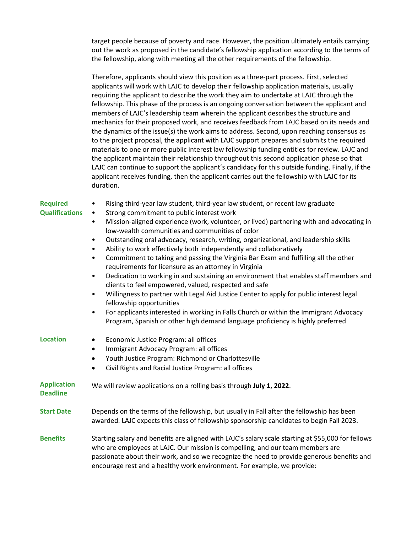target people because of poverty and race. However, the position ultimately entails carrying out the work as proposed in the candidate's fellowship application according to the terms of the fellowship, along with meeting all the other requirements of the fellowship.

Therefore, applicants should view this position as a three-part process. First, selected applicants will work with LAJC to develop their fellowship application materials, usually requiring the applicant to describe the work they aim to undertake at LAJC through the fellowship. This phase of the process is an ongoing conversation between the applicant and members of LAJC's leadership team wherein the applicant describes the structure and mechanics for their proposed work, and receives feedback from LAJC based on its needs and the dynamics of the issue(s) the work aims to address. Second, upon reaching consensus as to the project proposal, the applicant with LAJC support prepares and submits the required materials to one or more public interest law fellowship funding entities for review. LAJC and the applicant maintain their relationship throughout this second application phase so that LAJC can continue to support the applicant's candidacy for this outside funding. Finally, if the applicant receives funding, then the applicant carries out the fellowship with LAJC for its duration.

| <b>Required</b>                       | Rising third-year law student, third-year law student, or recent law graduate<br>$\bullet$                                                                                                                                                                                                                                                                    |
|---------------------------------------|---------------------------------------------------------------------------------------------------------------------------------------------------------------------------------------------------------------------------------------------------------------------------------------------------------------------------------------------------------------|
| <b>Qualifications</b>                 | Strong commitment to public interest work<br>$\bullet$                                                                                                                                                                                                                                                                                                        |
|                                       | Mission-aligned experience (work, volunteer, or lived) partnering with and advocating in<br>$\bullet$<br>low-wealth communities and communities of color                                                                                                                                                                                                      |
|                                       | Outstanding oral advocacy, research, writing, organizational, and leadership skills<br>$\bullet$<br>Ability to work effectively both independently and collaboratively<br>$\bullet$                                                                                                                                                                           |
|                                       | Commitment to taking and passing the Virginia Bar Exam and fulfilling all the other<br>٠<br>requirements for licensure as an attorney in Virginia                                                                                                                                                                                                             |
|                                       | Dedication to working in and sustaining an environment that enables staff members and<br>$\bullet$<br>clients to feel empowered, valued, respected and safe                                                                                                                                                                                                   |
|                                       | Willingness to partner with Legal Aid Justice Center to apply for public interest legal<br>$\bullet$<br>fellowship opportunities                                                                                                                                                                                                                              |
|                                       | For applicants interested in working in Falls Church or within the Immigrant Advocacy<br>$\bullet$<br>Program, Spanish or other high demand language proficiency is highly preferred                                                                                                                                                                          |
| <b>Location</b>                       | Economic Justice Program: all offices<br>$\bullet$                                                                                                                                                                                                                                                                                                            |
|                                       | Immigrant Advocacy Program: all offices<br>$\bullet$                                                                                                                                                                                                                                                                                                          |
|                                       | Youth Justice Program: Richmond or Charlottesville<br>$\bullet$                                                                                                                                                                                                                                                                                               |
|                                       | Civil Rights and Racial Justice Program: all offices<br>$\bullet$                                                                                                                                                                                                                                                                                             |
| <b>Application</b><br><b>Deadline</b> | We will review applications on a rolling basis through July 1, 2022.                                                                                                                                                                                                                                                                                          |
| <b>Start Date</b>                     | Depends on the terms of the fellowship, but usually in Fall after the fellowship has been<br>awarded. LAJC expects this class of fellowship sponsorship candidates to begin Fall 2023.                                                                                                                                                                        |
| <b>Benefits</b>                       | Starting salary and benefits are aligned with LAJC's salary scale starting at \$55,000 for fellows<br>who are employees at LAJC. Our mission is compelling, and our team members are<br>passionate about their work, and so we recognize the need to provide generous benefits and<br>encourage rest and a healthy work environment. For example, we provide: |